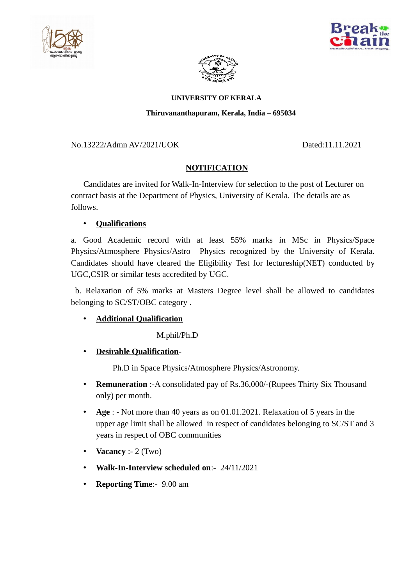





#### **UNIVERSITY OF KERALA**

### **Thiruvananthapuram, Kerala, India – 695034**

### No.13222/Admn AV/2021/UOK Dated:11.11.2021

# **NOTIFICATION**

 Candidates are invited for Walk-In-Interview for selection to the post of Lecturer on contract basis at the Department of Physics, University of Kerala. The details are as follows.

## • **Qualifications**

a. Good Academic record with at least 55% marks in MSc in Physics/Space Physics/Atmosphere Physics/Astro Physics recognized by the University of Kerala. Candidates should have cleared the Eligibility Test for lectureship(NET) conducted by UGC,CSIR or similar tests accredited by UGC.

 b. Relaxation of 5% marks at Masters Degree level shall be allowed to candidates belonging to SC/ST/OBC category .

## • **Additional Qualification**

M.phil/Ph.D

• **Desirable Qualification**-

Ph.D in Space Physics/Atmosphere Physics/Astronomy.

- **Remuneration** :-A consolidated pay of Rs.36,000/-(Rupees Thirty Six Thousand only) per month.
- **Age** : Not more than 40 years as on 01.01.2021. Relaxation of 5 years in the upper age limit shall be allowed in respect of candidates belonging to SC/ST and 3 years in respect of OBC communities
- **Vacancy** :- 2 (Two)
- **Walk-In-Interview scheduled on**:- 24/11/2021
- **Reporting Time**:- 9.00 am